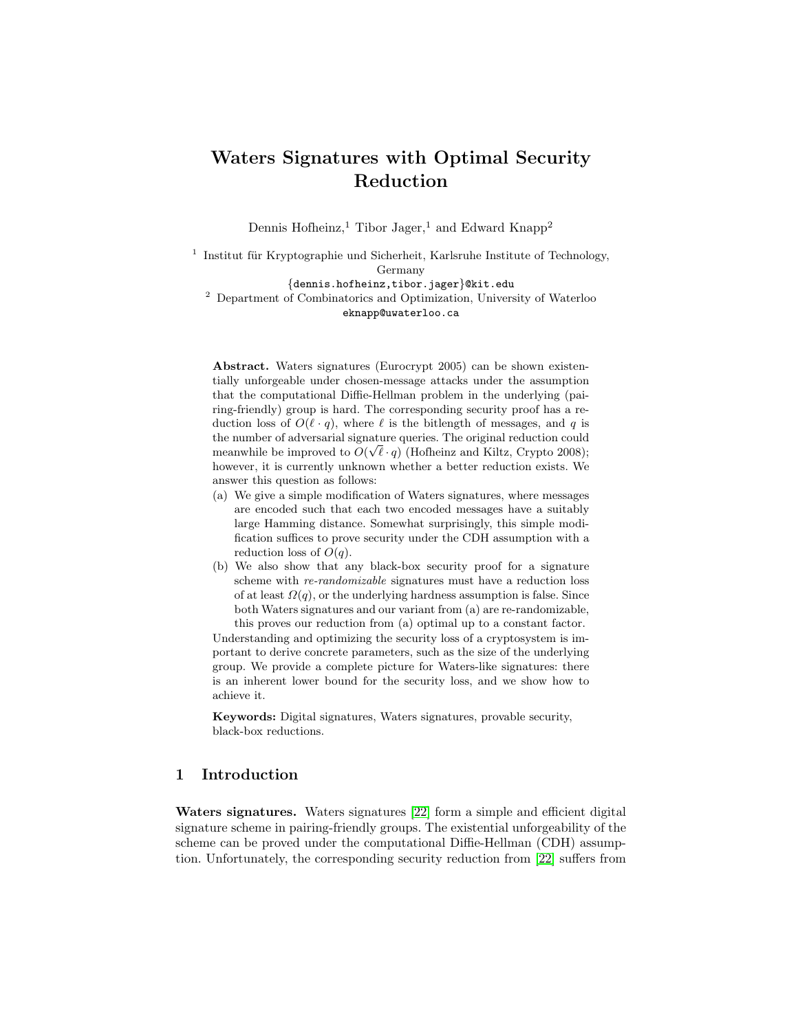# Waters Signatures with Optimal Security Reduction

Dennis Hofheinz,<sup>1</sup> Tibor Jager,<sup>1</sup> and Edward Knapp<sup>2</sup>

 $1$  Institut für Kryptographie und Sicherheit, Karlsruhe Institute of Technology, Germany

{dennis.hofheinz,tibor.jager}@kit.edu <sup>2</sup> Department of Combinatorics and Optimization, University of Waterloo

eknapp@uwaterloo.ca

Abstract. Waters signatures (Eurocrypt 2005) can be shown existentially unforgeable under chosen-message attacks under the assumption that the computational Diffie-Hellman problem in the underlying (pairing-friendly) group is hard. The corresponding security proof has a reduction loss of  $O(\ell \cdot q)$ , where  $\ell$  is the bitlength of messages, and q is the number of adversarial signature queries. The original reduction could meanwhile be improved to  $O(\sqrt{\ell} \cdot q)$  (Hofheinz and Kiltz, Crypto 2008); however, it is currently unknown whether a better reduction exists. We answer this question as follows:

- (a) We give a simple modification of Waters signatures, where messages are encoded such that each two encoded messages have a suitably large Hamming distance. Somewhat surprisingly, this simple modification suffices to prove security under the CDH assumption with a reduction loss of  $O(q)$ .
- (b) We also show that any black-box security proof for a signature scheme with re-randomizable signatures must have a reduction loss of at least  $\Omega(q)$ , or the underlying hardness assumption is false. Since both Waters signatures and our variant from (a) are re-randomizable, this proves our reduction from (a) optimal up to a constant factor.

Understanding and optimizing the security loss of a cryptosystem is important to derive concrete parameters, such as the size of the underlying group. We provide a complete picture for Waters-like signatures: there is an inherent lower bound for the security loss, and we show how to achieve it.

Keywords: Digital signatures, Waters signatures, provable security, black-box reductions.

# <span id="page-0-0"></span>1 Introduction

Waters signatures. Waters signatures [\[22\]](#page-17-0) form a simple and efficient digital signature scheme in pairing-friendly groups. The existential unforgeability of the scheme can be proved under the computational Diffie-Hellman (CDH) assumption. Unfortunately, the corresponding security reduction from [\[22\]](#page-17-0) suffers from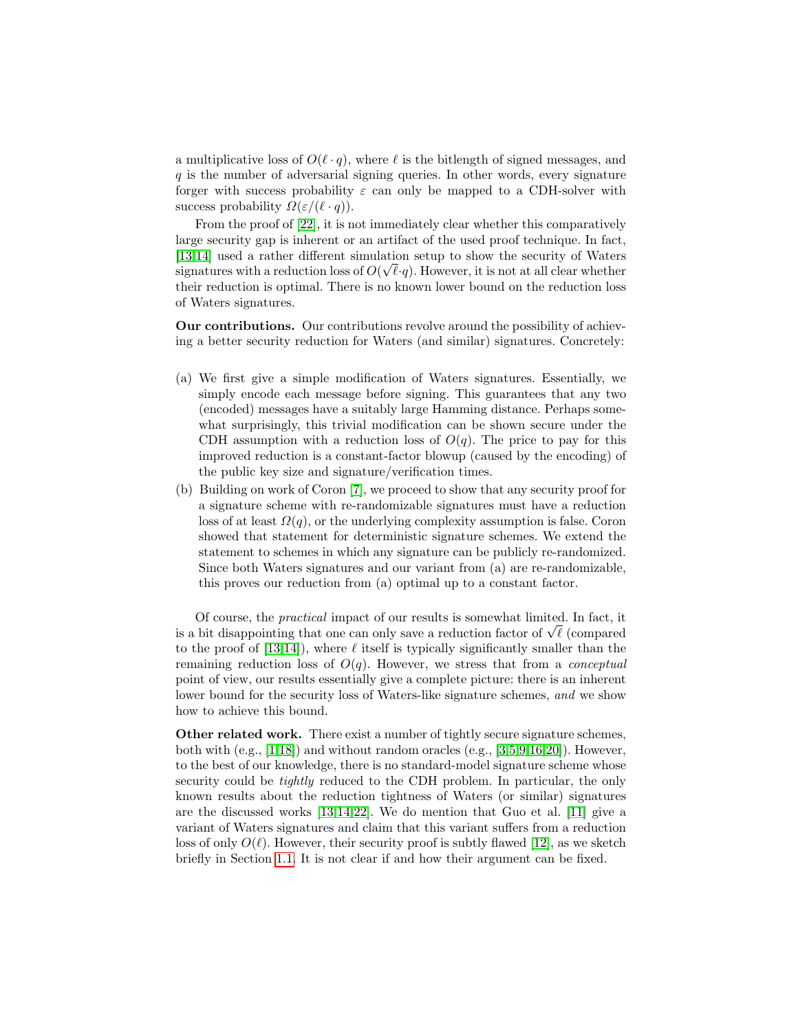a multiplicative loss of  $O(\ell \cdot q)$ , where  $\ell$  is the bitlength of signed messages, and  $q$  is the number of adversarial signing queries. In other words, every signature forger with success probability  $\varepsilon$  can only be mapped to a CDH-solver with success probability  $\Omega(\varepsilon/(\ell \cdot q)).$ 

From the proof of [\[22\]](#page-17-0), it is not immediately clear whether this comparatively large security gap is inherent or an artifact of the used proof technique. In fact, [\[13](#page-16-0)[,14\]](#page-17-1) used a rather different simulation setup to show the security of Waters signatures with a reduction loss of  $O(\sqrt{\ell} \cdot q)$ . However, it is not at all clear whether their reduction is optimal. There is no known lower bound on the reduction loss of Waters signatures.

Our contributions. Our contributions revolve around the possibility of achieving a better security reduction for Waters (and similar) signatures. Concretely:

- (a) We first give a simple modification of Waters signatures. Essentially, we simply encode each message before signing. This guarantees that any two (encoded) messages have a suitably large Hamming distance. Perhaps somewhat surprisingly, this trivial modification can be shown secure under the CDH assumption with a reduction loss of  $O(q)$ . The price to pay for this improved reduction is a constant-factor blowup (caused by the encoding) of the public key size and signature/verification times.
- (b) Building on work of Coron [\[7\]](#page-16-1), we proceed to show that any security proof for a signature scheme with re-randomizable signatures must have a reduction loss of at least  $\Omega(q)$ , or the underlying complexity assumption is false. Coron showed that statement for deterministic signature schemes. We extend the statement to schemes in which any signature can be publicly re-randomized. Since both Waters signatures and our variant from (a) are re-randomizable, this proves our reduction from (a) optimal up to a constant factor.

Of course, the practical impact of our results is somewhat limited. In fact, it Or course, the *practical* impact of our results is somewhat limited. In fact, it is a bit disappointing that one can only save a reduction factor of  $\sqrt{\ell}$  (compared to the proof of [\[13,](#page-16-0)[14\]](#page-17-1)), where  $\ell$  itself is typically significantly smaller than the remaining reduction loss of  $O(q)$ . However, we stress that from a *conceptual* point of view, our results essentially give a complete picture: there is an inherent lower bound for the security loss of Waters-like signature schemes, and we show how to achieve this bound.

Other related work. There exist a number of tightly secure signature schemes, both with (e.g., [\[1](#page-16-2)[,18\]](#page-17-2)) and without random oracles (e.g., [\[3,](#page-16-3)[5,](#page-16-4)[9,](#page-16-5)[16,](#page-17-3)[20\]](#page-17-4)). However, to the best of our knowledge, there is no standard-model signature scheme whose security could be tightly reduced to the CDH problem. In particular, the only known results about the reduction tightness of Waters (or similar) signatures are the discussed works [\[13,](#page-16-0)[14,](#page-17-1)[22\]](#page-17-0). We do mention that Guo et al. [\[11\]](#page-16-6) give a variant of Waters signatures and claim that this variant suffers from a reduction loss of only  $O(\ell)$ . However, their security proof is subtly flawed [\[12\]](#page-16-7), as we sketch briefly in Section [1.1.](#page-2-0) It is not clear if and how their argument can be fixed.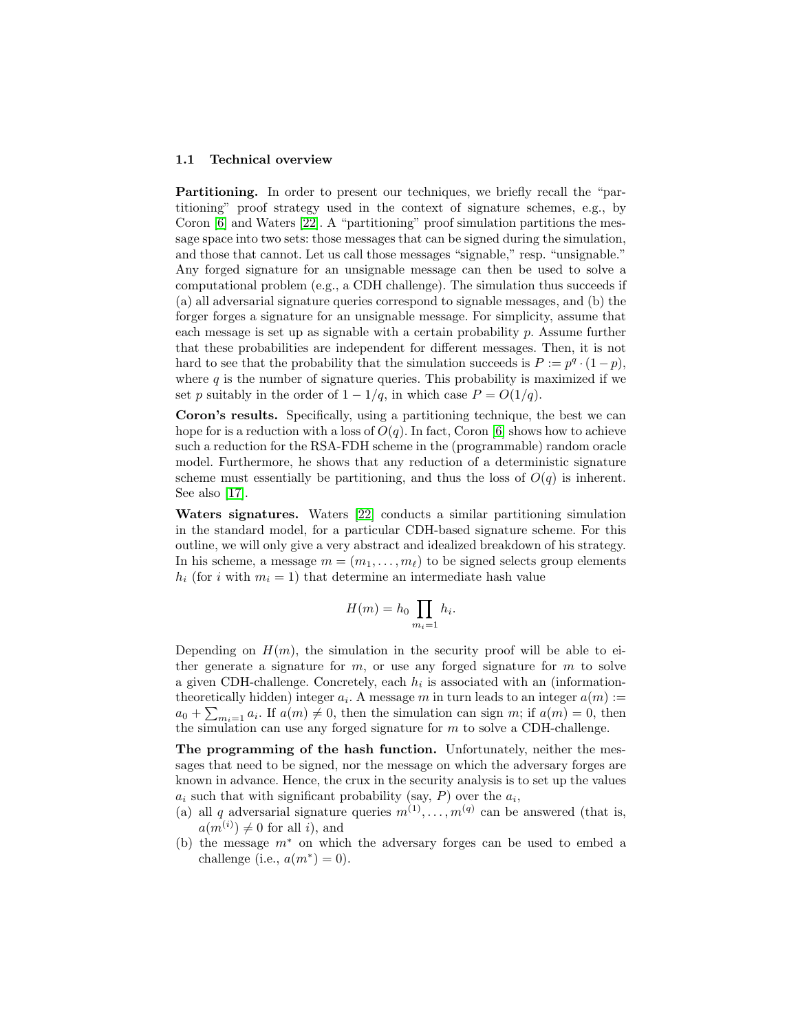#### <span id="page-2-0"></span>1.1 Technical overview

Partitioning. In order to present our techniques, we briefly recall the "partitioning" proof strategy used in the context of signature schemes, e.g., by Coron [\[6\]](#page-16-8) and Waters [\[22\]](#page-17-0). A "partitioning" proof simulation partitions the message space into two sets: those messages that can be signed during the simulation, and those that cannot. Let us call those messages "signable," resp. "unsignable." Any forged signature for an unsignable message can then be used to solve a computational problem (e.g., a CDH challenge). The simulation thus succeeds if (a) all adversarial signature queries correspond to signable messages, and (b) the forger forges a signature for an unsignable message. For simplicity, assume that each message is set up as signable with a certain probability  $p$ . Assume further that these probabilities are independent for different messages. Then, it is not hard to see that the probability that the simulation succeeds is  $P := p^q \cdot (1-p)$ , where  $q$  is the number of signature queries. This probability is maximized if we set p suitably in the order of  $1 - 1/q$ , in which case  $P = O(1/q)$ .

Coron's results. Specifically, using a partitioning technique, the best we can hope for is a reduction with a loss of  $O(q)$ . In fact, Coron [\[6\]](#page-16-8) shows how to achieve such a reduction for the RSA-FDH scheme in the (programmable) random oracle model. Furthermore, he shows that any reduction of a deterministic signature scheme must essentially be partitioning, and thus the loss of  $O(q)$  is inherent. See also [\[17\]](#page-17-5).

Waters signatures. Waters [\[22\]](#page-17-0) conducts a similar partitioning simulation in the standard model, for a particular CDH-based signature scheme. For this outline, we will only give a very abstract and idealized breakdown of his strategy. In his scheme, a message  $m = (m_1, \ldots, m_\ell)$  to be signed selects group elements  $h_i$  (for i with  $m_i = 1$ ) that determine an intermediate hash value

$$
H(m) = h_0 \prod_{m_i=1} h_i.
$$

Depending on  $H(m)$ , the simulation in the security proof will be able to either generate a signature for  $m$ , or use any forged signature for  $m$  to solve a given CDH-challenge. Concretely, each  $h_i$  is associated with an (informationtheoretically hidden) integer  $a_i$ . A message m in turn leads to an integer  $a(m) :=$  $a_0 + \sum_{m_i=1} a_i$ . If  $a(m) \neq 0$ , then the simulation can sign m; if  $a(m) = 0$ , then the simulation can use any forged signature for  $m$  to solve a CDH-challenge.

The programming of the hash function. Unfortunately, neither the messages that need to be signed, nor the message on which the adversary forges are known in advance. Hence, the crux in the security analysis is to set up the values  $a_i$  such that with significant probability (say, P) over the  $a_i$ ,

- (a) all q adversarial signature queries  $m^{(1)}, \ldots, m^{(q)}$  can be answered (that is,  $a(m^{(i)}) \neq 0$  for all i), and
- (b) the message  $m^*$  on which the adversary forges can be used to embed a challenge (i.e.,  $a(m^*) = 0$ ).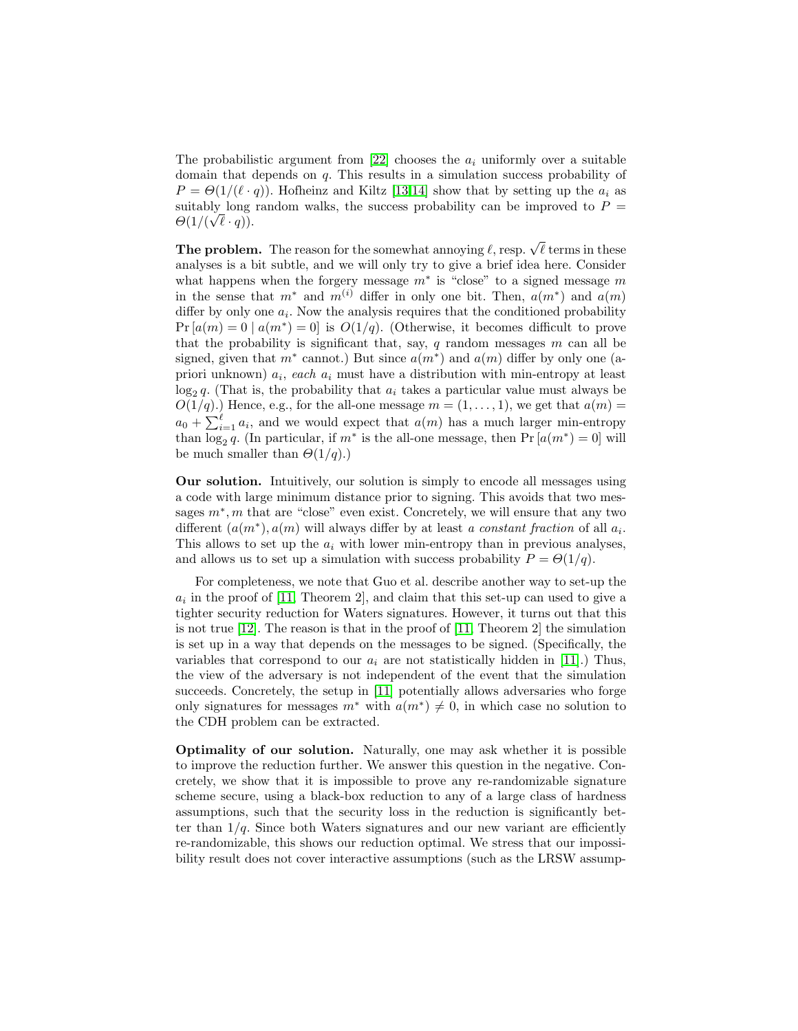The probabilistic argument from [\[22\]](#page-17-0) chooses the  $a_i$  uniformly over a suitable domain that depends on q. This results in a simulation success probability of  $P = \Theta(1/(\ell \cdot q))$ . Hofheinz and Kiltz [\[13](#page-16-0)[,14\]](#page-17-1) show that by setting up the  $a_i$  as suitably long random walks, the success probability can be improved to  $P =$  $\Theta(1/(\sqrt{\ell}\cdot q)).$ 

**The problem.** The reason for the somewhat annoying  $\ell$ , resp.  $\sqrt{\ell}$  terms in these analyses is a bit subtle, and we will only try to give a brief idea here. Consider what happens when the forgery message  $m^*$  is "close" to a signed message m in the sense that  $m^*$  and  $m^{(i)}$  differ in only one bit. Then,  $a(m^*)$  and  $a(m)$ differ by only one  $a_i$ . Now the analysis requires that the conditioned probability  $Pr[a(m) = 0 | a(m^*) = 0]$  is  $O(1/q)$ . (Otherwise, it becomes difficult to prove that the probability is significant that, say, q random messages  $m$  can all be signed, given that  $m^*$  cannot.) But since  $a(m^*)$  and  $a(m)$  differ by only one (apriori unknown)  $a_i$ , each  $a_i$  must have a distribution with min-entropy at least  $log_2 q$ . (That is, the probability that  $a_i$  takes a particular value must always be  $O(1/q)$ .) Hence, e.g., for the all-one message  $m = (1, \ldots, 1)$ , we get that  $a(m) =$  $a_0 + \sum_{i=1}^{\ell} a_i$ , and we would expect that  $a(m)$  has a much larger min-entropy than  $\log_2 q$ . (In particular, if  $m^*$  is the all-one message, then  $\Pr\left[a(m^*)=0\right]$  will be much smaller than  $\Theta(1/a)$ .

Our solution. Intuitively, our solution is simply to encode all messages using a code with large minimum distance prior to signing. This avoids that two messages  $m^*$ , m that are "close" even exist. Concretely, we will ensure that any two different  $(a(m^*), a(m)$  will always differ by at least a constant fraction of all  $a_i$ . This allows to set up the  $a_i$  with lower min-entropy than in previous analyses, and allows us to set up a simulation with success probability  $P = \Theta(1/q)$ .

For completeness, we note that Guo et al. describe another way to set-up the  $a_i$  in the proof of [\[11,](#page-16-6) Theorem 2], and claim that this set-up can used to give a tighter security reduction for Waters signatures. However, it turns out that this is not true [\[12\]](#page-16-7). The reason is that in the proof of [\[11,](#page-16-6) Theorem 2] the simulation is set up in a way that depends on the messages to be signed. (Specifically, the variables that correspond to our  $a_i$  are not statistically hidden in [\[11\]](#page-16-6).) Thus, the view of the adversary is not independent of the event that the simulation succeeds. Concretely, the setup in [\[11\]](#page-16-6) potentially allows adversaries who forge only signatures for messages  $m^*$  with  $a(m^*) \neq 0$ , in which case no solution to the CDH problem can be extracted.

Optimality of our solution. Naturally, one may ask whether it is possible to improve the reduction further. We answer this question in the negative. Concretely, we show that it is impossible to prove any re-randomizable signature scheme secure, using a black-box reduction to any of a large class of hardness assumptions, such that the security loss in the reduction is significantly better than  $1/q$ . Since both Waters signatures and our new variant are efficiently re-randomizable, this shows our reduction optimal. We stress that our impossibility result does not cover interactive assumptions (such as the LRSW assump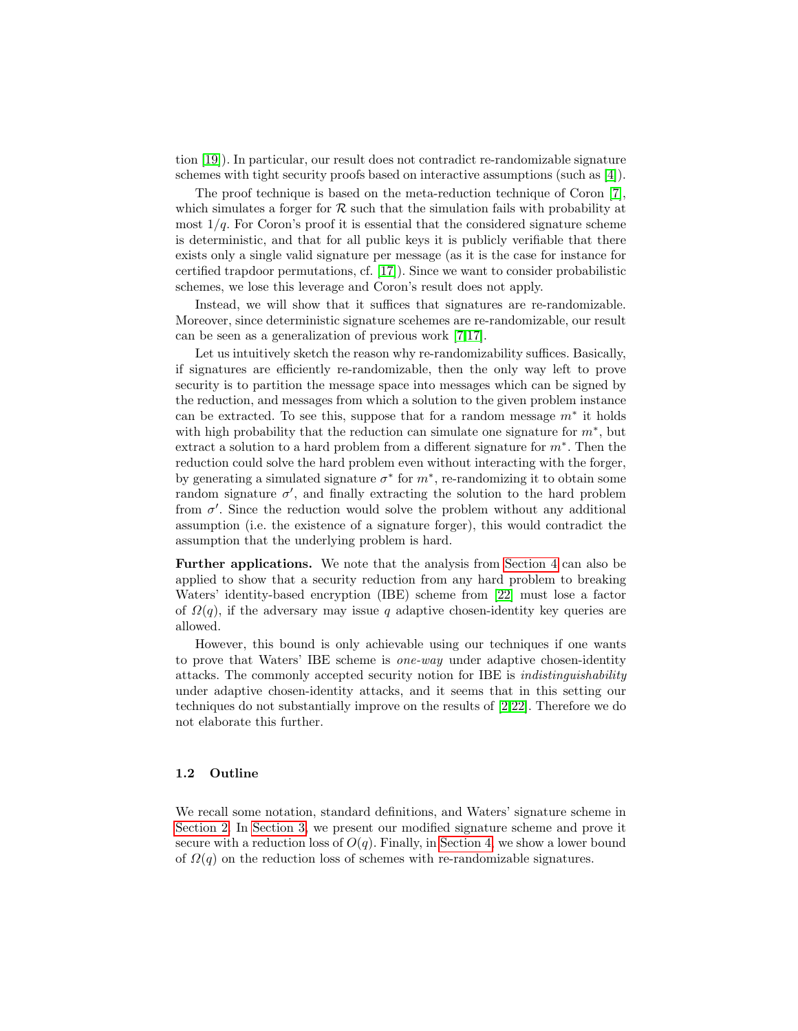tion [\[19\]](#page-17-6)). In particular, our result does not contradict re-randomizable signature schemes with tight security proofs based on interactive assumptions (such as [\[4\]](#page-16-9)).

The proof technique is based on the meta-reduction technique of Coron [\[7\]](#page-16-1), which simulates a forger for  $R$  such that the simulation fails with probability at most  $1/q$ . For Coron's proof it is essential that the considered signature scheme is deterministic, and that for all public keys it is publicly verifiable that there exists only a single valid signature per message (as it is the case for instance for certified trapdoor permutations, cf. [\[17\]](#page-17-5)). Since we want to consider probabilistic schemes, we lose this leverage and Coron's result does not apply.

Instead, we will show that it suffices that signatures are re-randomizable. Moreover, since deterministic signature scehemes are re-randomizable, our result can be seen as a generalization of previous work [\[7,](#page-16-1)[17\]](#page-17-5).

Let us intuitively sketch the reason why re-randomizability suffices. Basically, if signatures are efficiently re-randomizable, then the only way left to prove security is to partition the message space into messages which can be signed by the reduction, and messages from which a solution to the given problem instance can be extracted. To see this, suppose that for a random message  $m^*$  it holds with high probability that the reduction can simulate one signature for  $m^*$ , but extract a solution to a hard problem from a different signature for  $m^*$ . Then the reduction could solve the hard problem even without interacting with the forger, by generating a simulated signature  $\sigma^*$  for  $m^*$ , re-randomizing it to obtain some random signature  $\sigma'$ , and finally extracting the solution to the hard problem from  $\sigma'$ . Since the reduction would solve the problem without any additional assumption (i.e. the existence of a signature forger), this would contradict the assumption that the underlying problem is hard.

Further applications. We note that the analysis from [Section 4](#page-11-0) can also be applied to show that a security reduction from any hard problem to breaking Waters' identity-based encryption (IBE) scheme from [\[22\]](#page-17-0) must lose a factor of  $\Omega(q)$ , if the adversary may issue q adaptive chosen-identity key queries are allowed.

However, this bound is only achievable using our techniques if one wants to prove that Waters' IBE scheme is one-way under adaptive chosen-identity attacks. The commonly accepted security notion for IBE is indistinguishability under adaptive chosen-identity attacks, and it seems that in this setting our techniques do not substantially improve on the results of [\[2,](#page-16-10)[22\]](#page-17-0). Therefore we do not elaborate this further.

## 1.2 Outline

We recall some notation, standard definitions, and Waters' signature scheme in [Section 2.](#page-5-0) In [Section 3,](#page-6-0) we present our modified signature scheme and prove it secure with a reduction loss of  $O(q)$ . Finally, in [Section 4,](#page-11-0) we show a lower bound of  $\Omega(q)$  on the reduction loss of schemes with re-randomizable signatures.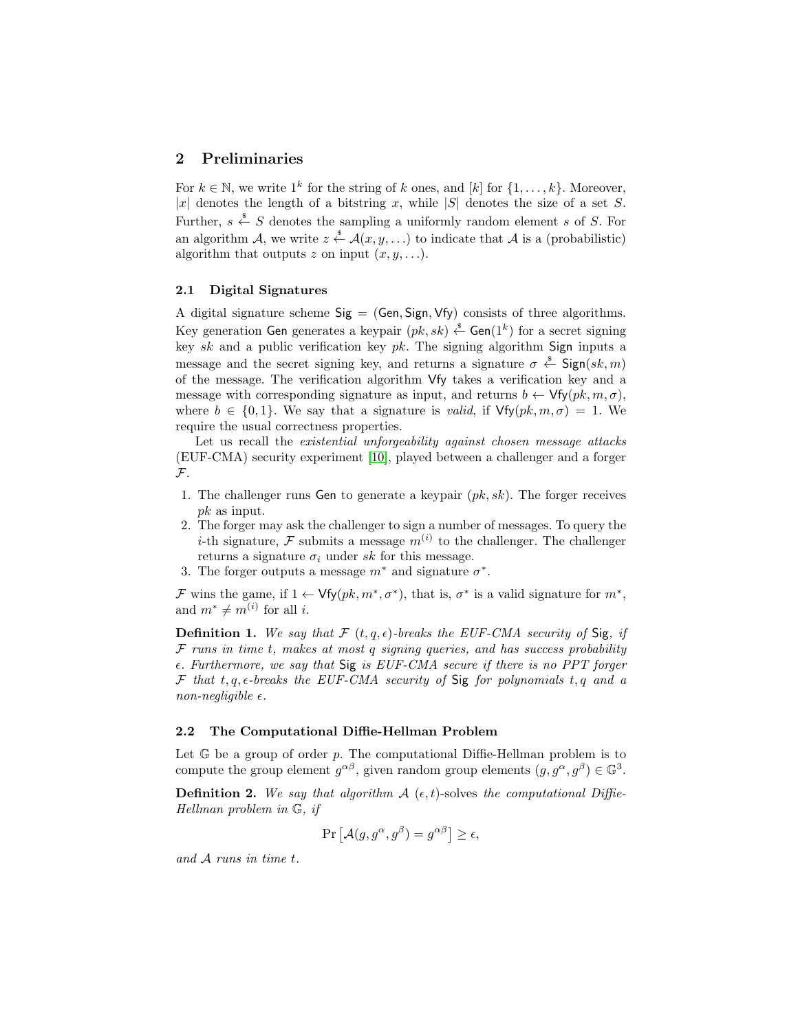## <span id="page-5-0"></span>2 Preliminaries

For  $k \in \mathbb{N}$ , we write  $1^k$  for the string of k ones, and  $[k]$  for  $\{1, \ldots, k\}$ . Moreover, |x| denotes the length of a bitstring x, while |S| denotes the size of a set S. Further,  $s \stackrel{\$}{\leftarrow} S$  denotes the sampling a uniformly random element s of S. For an algorithm A, we write  $z \stackrel{\ast}{\leftarrow} A(x, y, \ldots)$  to indicate that A is a (probabilistic) algorithm that outputs z on input  $(x, y, \ldots)$ .

#### 2.1 Digital Signatures

A digital signature scheme  $Sig = (Gen, Sign, Vfy)$  consists of three algorithms. Key generation Gen generates a keypair  $(pk, sk) \stackrel{\$}{\leftarrow}$  Gen $(1^k)$  for a secret signing key sk and a public verification key  $pk$ . The signing algorithm Sign inputs a message and the secret signing key, and returns a signature  $\sigma \stackrel{\hspace{0.1em}\mathsf{\scriptscriptstyle\$}}{\leftarrow}$  Sign $(sk, m)$ of the message. The verification algorithm Vfy takes a verification key and a message with corresponding signature as input, and returns  $b \leftarrow \mathsf{Vfy}(pk, m, \sigma)$ , where  $b \in \{0, 1\}$ . We say that a signature is valid, if  $\mathsf{Vfv}(pk, m, \sigma) = 1$ . We require the usual correctness properties.

Let us recall the *existential unforgeability against chosen message attacks* (EUF-CMA) security experiment [\[10\]](#page-16-11), played between a challenger and a forger F.

- 1. The challenger runs Gen to generate a keypair  $(pk, sk)$ . The forger receives pk as input.
- 2. The forger may ask the challenger to sign a number of messages. To query the *i*-th signature, F submits a message  $m^{(i)}$  to the challenger. The challenger returns a signature  $\sigma_i$  under sk for this message.
- 3. The forger outputs a message  $m^*$  and signature  $\sigma^*$ .

F wins the game, if  $1 \leftarrow \mathsf{Vfy}(pk, m^*, \sigma^*)$ , that is,  $\sigma^*$  is a valid signature for  $m^*$ , and  $m^* \neq m^{(i)}$  for all *i*.

<span id="page-5-1"></span>**Definition 1.** We say that  $\mathcal{F}(t, q, \epsilon)$ -breaks the EUF-CMA security of Sig, if  $\mathcal F$  runs in time t, makes at most q signing queries, and has success probability  $\epsilon$ . Furthermore, we say that Sig is EUF-CMA secure if there is no PPT forger F that  $t, q, \epsilon$ -breaks the EUF-CMA security of Sig for polynomials  $t, q$  and a non-negligible  $\epsilon$ .

#### 2.2 The Computational Diffie-Hellman Problem

Let  $\mathbb G$  be a group of order p. The computational Diffie-Hellman problem is to compute the group element  $g^{\alpha\beta}$ , given random group elements  $(g, g^{\alpha}, g^{\beta}) \in \mathbb{G}^3$ .

**Definition 2.** We say that algorithm  $\mathcal{A}$  ( $\epsilon$ ,t)-solves the computational Diffie-Hellman problem in G, if

$$
\Pr\left[\mathcal{A}(g, g^{\alpha}, g^{\beta}) = g^{\alpha\beta}\right] \ge \epsilon,
$$

and A runs in time t.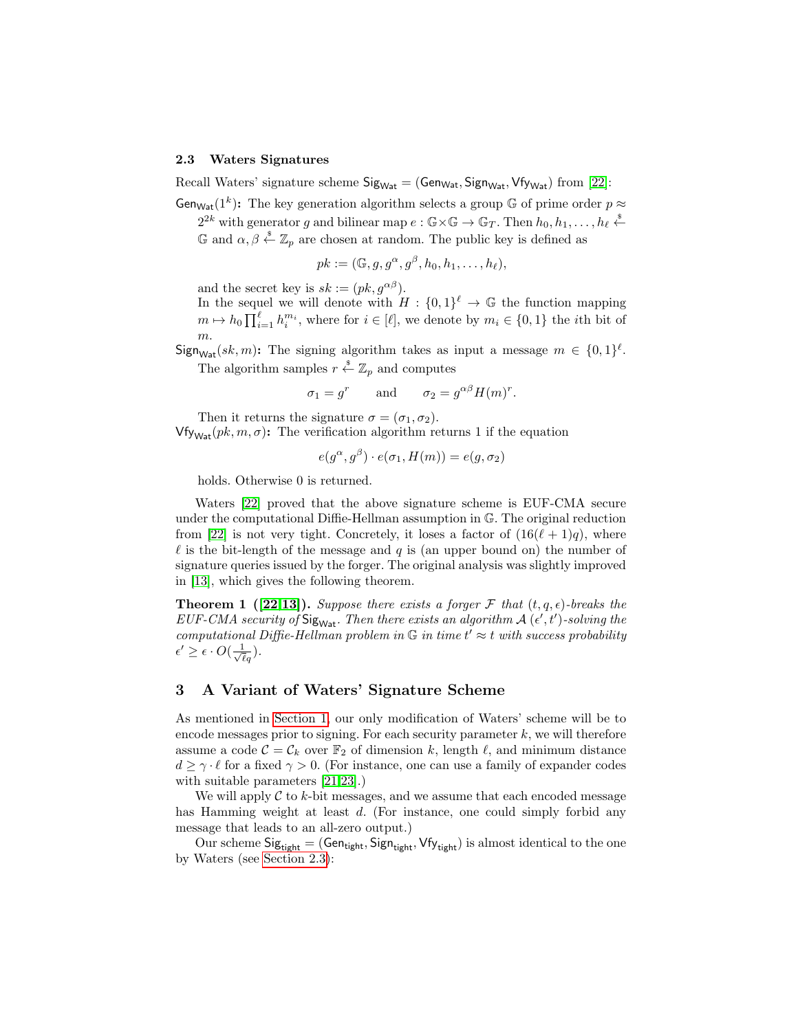#### <span id="page-6-1"></span>2.3 Waters Signatures

Recall Waters' signature scheme  $\text{Sig}_{\text{Wat}} = (\text{Gen}_{\text{Wat}}, \text{Sign}_{\text{Wat}})$  from [\[22\]](#page-17-0):

Gen<sub>Wat</sub>(1<sup>k</sup>): The key generation algorithm selects a group G of prime order  $p \approx$  $2^{2k}$  with generator g and bilinear map  $e : \mathbb{G} \times \mathbb{G} \to \mathbb{G}_T$ . Then  $h_0, h_1, \ldots, h_\ell \stackrel{\$}{\leftarrow}$  $\mathbb{G}$  and  $\alpha, \beta \stackrel{\$}{\leftarrow} \mathbb{Z}_p$  are chosen at random. The public key is defined as

$$
pk := (\mathbb{G}, g, g^{\alpha}, g^{\beta}, h_0, h_1, \ldots, h_{\ell}),
$$

and the secret key is  $sk := (pk, q^{\alpha\beta})$ .

In the sequel we will denote with  $H: \{0,1\}^{\ell} \to \mathbb{G}$  the function mapping  $m \mapsto h_0 \prod_{i=1}^{\ell} h_i^{m_i}$ , where for  $i \in [\ell]$ , we denote by  $m_i \in \{0, 1\}$  the *i*th bit of m.

 $Sign_{Wat}(sk, m)$ : The signing algorithm takes as input a message  $m \in \{0, 1\}^{\ell}$ .

The algorithm samples  $r \stackrel{\hspace{0.1em}\mathsf{\scriptscriptstyle\$}}{\leftarrow} \mathbb{Z}_p$  and computes

$$
\sigma_1 = g^r
$$
 and  $\sigma_2 = g^{\alpha\beta} H(m)^r$ .

Then it returns the signature  $\sigma = (\sigma_1, \sigma_2)$ .

 $Vf_{\text{Wat}}(pk, m, \sigma)$ : The verification algorithm returns 1 if the equation

$$
e(g^{\alpha}, g^{\beta}) \cdot e(\sigma_1, H(m)) = e(g, \sigma_2)
$$

holds. Otherwise 0 is returned.

Waters [\[22\]](#page-17-0) proved that the above signature scheme is EUF-CMA secure under the computational Diffie-Hellman assumption in G. The original reduction from [\[22\]](#page-17-0) is not very tight. Concretely, it loses a factor of  $(16(\ell + 1)q)$ , where  $\ell$  is the bit-length of the message and q is (an upper bound on) the number of signature queries issued by the forger. The original analysis was slightly improved in [\[13\]](#page-16-0), which gives the following theorem.

**Theorem 1** ([\[22](#page-17-0)[,13\]](#page-16-0)). Suppose there exists a forger F that  $(t, q, \epsilon)$ -breaks the EUF-CMA security of  $\text{Sig}_{\text{Wat}}$ . Then there exists an algorithm  $\mathcal{A}(\epsilon', t')$ -solving the computational Diffie-Hellman problem in  $\mathbb G$  in time  $t' \approx t$  with success probability  $\epsilon' \geq \epsilon \cdot O(\frac{1}{\sqrt{\ell}q}).$ 

## <span id="page-6-0"></span>3 A Variant of Waters' Signature Scheme

As mentioned in [Section 1,](#page-0-0) our only modification of Waters' scheme will be to encode messages prior to signing. For each security parameter  $k$ , we will therefore assume a code  $C = C_k$  over  $\mathbb{F}_2$  of dimension k, length  $\ell$ , and minimum distance  $d \geq \gamma \cdot \ell$  for a fixed  $\gamma > 0$ . (For instance, one can use a family of expander codes with suitable parameters [\[21,](#page-17-7)[23\]](#page-17-8).)

We will apply  $\mathcal C$  to k-bit messages, and we assume that each encoded message has Hamming weight at least d. (For instance, one could simply forbid any message that leads to an all-zero output.)

Our scheme  $\text{Sig}_{\text{tight}} = (\text{Gen}_{\text{tight}}, \text{Sign}_{\text{tight}}, \text{Vf}_{\text{tight}})$  is almost identical to the one by Waters (see [Section 2.3\)](#page-6-1):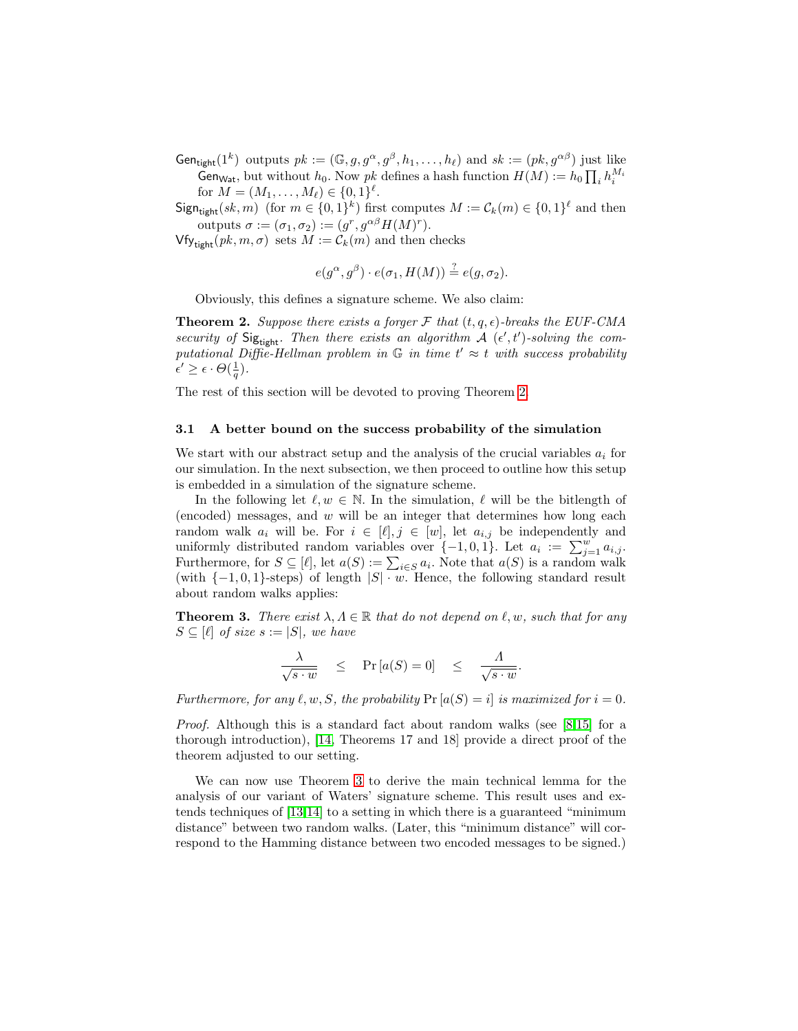Gen<sub>tight</sub>(1<sup>k</sup>) outputs  $pk := (\mathbb{G}, g, g^{\alpha}, g^{\beta}, h_1, \ldots, h_{\ell})$  and  $sk := (pk, g^{\alpha\beta})$  just like Gen<sub>Wat</sub>, but without  $h_0$ . Now  $p_k$  defines a hash function  $H(M) := h_0 \prod_i h_i^{M_i}$ for  $M = (M_1, \ldots, M_\ell) \in \{0, 1\}^\ell$ .

 $\mathsf{Sign}_{\mathsf{tight}}(sk,m)$  (for  $m \in \{0,1\}^k$ ) first computes  $M := \mathcal{C}_k(m) \in \{0,1\}^{\ell}$  and then outputs  $\sigma := (\sigma_1, \sigma_2) := (g^r, g^{\alpha \beta} H(M)^r).$ 

 $Vf_{\mathsf{Right}}(pk, m, \sigma)$  sets  $M := \mathcal{C}_k(m)$  and then checks

<span id="page-7-0"></span>
$$
e(g^{\alpha}, g^{\beta}) \cdot e(\sigma_1, H(M)) \stackrel{?}{=} e(g, \sigma_2).
$$

Obviously, this defines a signature scheme. We also claim:

**Theorem 2.** Suppose there exists a forger  $\mathcal F$  that  $(t, q, \epsilon)$ -breaks the EUF-CMA security of Sig<sub>tight</sub>. Then there exists an algorithm  $A(\epsilon', t')$ -solving the computational Diffie-Hellman problem in  $\mathbb G$  in time  $t' \approx t$  with success probability  $\epsilon' \geq \epsilon \cdot \Theta(\frac{1}{q}).$ 

The rest of this section will be devoted to proving Theorem [2.](#page-7-0)

#### <span id="page-7-3"></span>3.1 A better bound on the success probability of the simulation

We start with our abstract setup and the analysis of the crucial variables  $a_i$  for our simulation. In the next subsection, we then proceed to outline how this setup is embedded in a simulation of the signature scheme.

In the following let  $\ell, w \in \mathbb{N}$ . In the simulation,  $\ell$  will be the bitlength of (encoded) messages, and w will be an integer that determines how long each random walk  $a_i$  will be. For  $i \in [\ell], j \in [w]$ , let  $a_{i,j}$  be independently and uniformly distributed random variables over  $\{-1,0,1\}$ . Let  $a_i := \sum_{j=1}^{w} a_{i,j}$ . Furthermore, for  $S \subseteq [\ell]$ , let  $a(S) := \sum_{i \in S} a_i$ . Note that  $a(S)$  is a random walk (with  $\{-1, 0, 1\}$ -steps) of length  $|S| \cdot w$ . Hence, the following standard result about random walks applies:

**Theorem 3.** There exist  $\lambda, \Lambda \in \mathbb{R}$  that do not depend on  $\ell, w$ , such that for any  $S \subseteq [\ell]$  of size  $s := |S|$ , we have

<span id="page-7-1"></span>
$$
\frac{\lambda}{\sqrt{s \cdot w}} \le \text{Pr}\left[a(S) = 0\right] \le \frac{\Lambda}{\sqrt{s \cdot w}}.
$$

Furthermore, for any  $\ell, w, S$ , the probability  $Pr [a(S) = i]$  is maximized for  $i = 0$ .

*Proof.* Although this is a standard fact about random walks (see [\[8](#page-16-12)[,15\]](#page-17-9) for a thorough introduction), [\[14,](#page-17-1) Theorems 17 and 18] provide a direct proof of the theorem adjusted to our setting.

<span id="page-7-2"></span>We can now use Theorem [3](#page-7-1) to derive the main technical lemma for the analysis of our variant of Waters' signature scheme. This result uses and extends techniques of [\[13,](#page-16-0)[14\]](#page-17-1) to a setting in which there is a guaranteed "minimum distance" between two random walks. (Later, this "minimum distance" will correspond to the Hamming distance between two encoded messages to be signed.)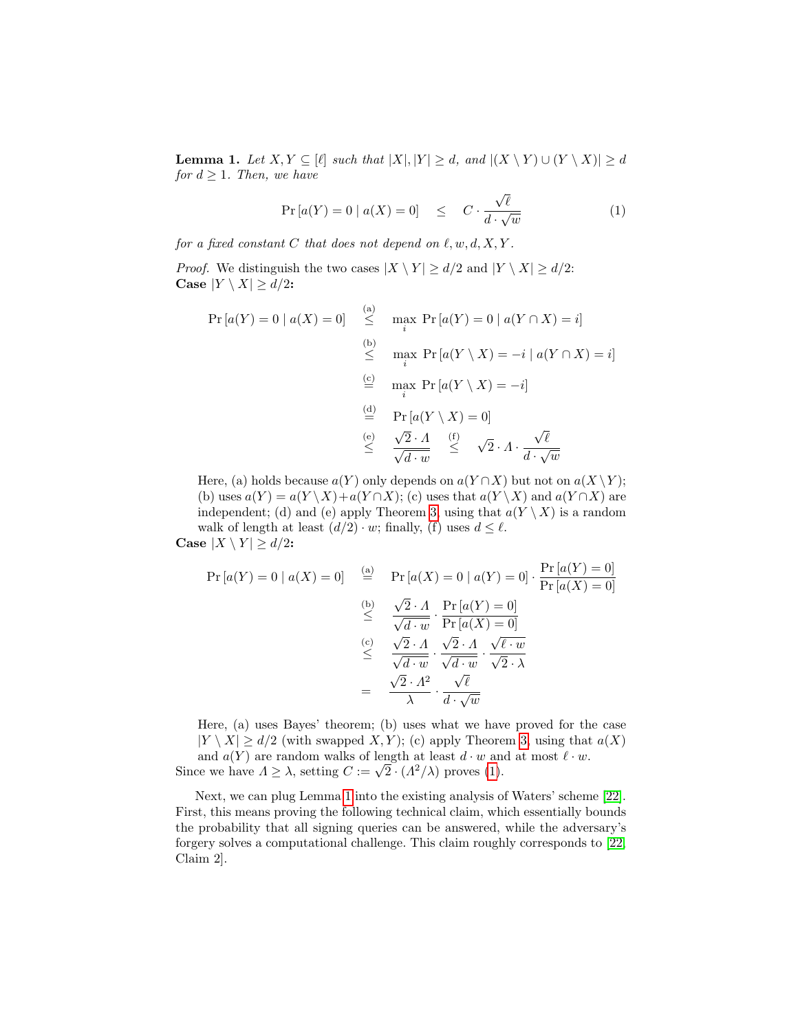**Lemma 1.** Let  $X, Y \subseteq [\ell]$  such that  $|X|, |Y| \ge d$ , and  $|(X \setminus Y) \cup (Y \setminus X)| \ge d$ for  $d \geq 1$ . Then, we have

<span id="page-8-0"></span>
$$
\Pr\left[a(Y) = 0 \mid a(X) = 0\right] \leq C \cdot \frac{\sqrt{\ell}}{d \cdot \sqrt{w}} \tag{1}
$$

for a fixed constant C that does not depend on  $\ell, w, d, X, Y$ .

*Proof.* We distinguish the two cases  $|X \setminus Y| \ge d/2$  and  $|Y \setminus X| \ge d/2$ : Case  $|Y \setminus X| \ge d/2$ :

$$
\Pr\left[a(Y) = 0 \mid a(X) = 0\right] \stackrel{\text{(a)}}{\leq} \max_{i} \Pr\left[a(Y) = 0 \mid a(Y \cap X) = i\right]
$$
\n
$$
\stackrel{\text{(b)}}{\leq} \max_{i} \Pr\left[a(Y \setminus X) = -i \mid a(Y \cap X) = i\right]
$$
\n
$$
\stackrel{\text{(c)}}{=} \max_{i} \Pr\left[a(Y \setminus X) = -i\right]
$$
\n
$$
\stackrel{\text{(d)}}{=} \Pr\left[a(Y \setminus X) = 0\right]
$$
\n
$$
\stackrel{\text{(e)}}{\leq} \frac{\sqrt{2} \cdot \Lambda}{\sqrt{d \cdot w}} \stackrel{\text{(f)}}{\leq} \sqrt{2} \cdot \Lambda \cdot \frac{\sqrt{\ell}}{d \cdot \sqrt{w}}
$$

Here, (a) holds because  $a(Y)$  only depends on  $a(Y \cap X)$  but not on  $a(X \ Y)$ ; (b) uses  $a(Y) = a(Y \ X) + a(Y \cap X)$ ; (c) uses that  $a(Y \ X)$  and  $a(Y \cap X)$  are independent; (d) and (e) apply Theorem [3,](#page-7-1) using that  $a(Y \setminus X)$  is a random walk of length at least  $(d/2) \cdot w$ ; finally, (f) uses  $d \leq \ell$ . Case  $|X \setminus Y| \ge d/2$ :

$$
\Pr\left[a(Y) = 0 \mid a(X) = 0\right] \stackrel{\text{(a)}}{=} \Pr\left[a(X) = 0 \mid a(Y) = 0\right] \cdot \frac{\Pr\left[a(Y) = 0\right]}{\Pr\left[a(X) = 0\right]}
$$
\n
$$
\stackrel{\text{(b)}}{\leq} \frac{\sqrt{2} \cdot \Lambda}{\sqrt{d \cdot w}} \cdot \frac{\Pr\left[a(Y) = 0\right]}{\Pr\left[a(X) = 0\right]}
$$
\n
$$
\stackrel{\text{(c)}}{\leq} \frac{\sqrt{2} \cdot \Lambda}{\sqrt{d \cdot w}} \cdot \frac{\sqrt{2} \cdot \Lambda}{\sqrt{d \cdot w}} \cdot \frac{\sqrt{\ell \cdot w}}{\sqrt{2} \cdot \lambda}
$$
\n
$$
= \frac{\sqrt{2} \cdot \Lambda^2}{\lambda} \cdot \frac{\sqrt{\ell}}{d \cdot \sqrt{w}}
$$

Here, (a) uses Bayes' theorem; (b) uses what we have proved for the case  $|Y \setminus X| \ge d/2$  (with swapped X, Y); (c) apply Theorem [3,](#page-7-1) using that  $a(X)$ and  $a(Y)$  are random walks of length at least  $d \cdot w$  and at most  $\ell \cdot w$ .

and  $a(Y)$  are random walks of length at least  $a \cdot w$  and<br>Since we have  $\Lambda \geq \lambda$ , setting  $C := \sqrt{2} \cdot (\Lambda^2/\lambda)$  proves [\(1\)](#page-8-0).

<span id="page-8-1"></span>Next, we can plug Lemma [1](#page-7-2) into the existing analysis of Waters' scheme [\[22\]](#page-17-0). First, this means proving the following technical claim, which essentially bounds the probability that all signing queries can be answered, while the adversary's forgery solves a computational challenge. This claim roughly corresponds to [\[22,](#page-17-0) Claim 2].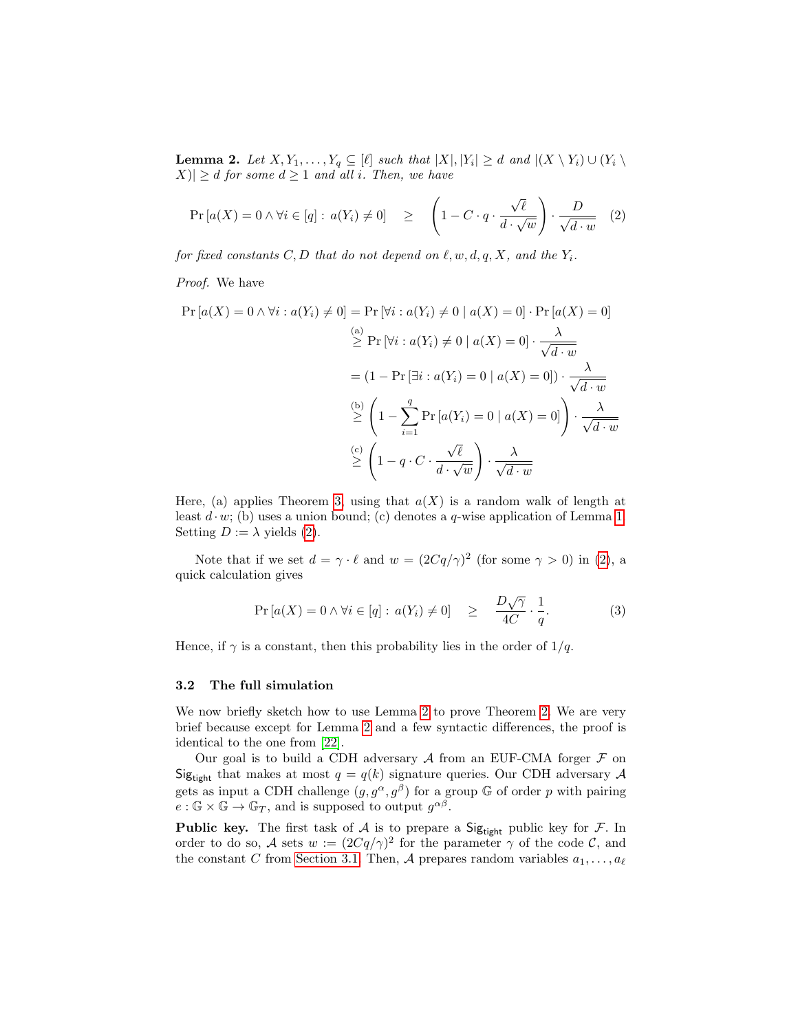**Lemma 2.** Let  $X, Y_1, \ldots, Y_q \subseteq [\ell]$  such that  $|X|, |Y_i| \geq d$  and  $|(X \setminus Y_i) \cup (Y_i \setminus \ell]$  $|X\rangle \geq d$  for some  $d \geq 1$  and all i. Then, we have

<span id="page-9-0"></span>
$$
\Pr\left[a(X) = 0 \land \forall i \in [q] : a(Y_i) \neq 0\right] \geq \left(1 - C \cdot q \cdot \frac{\sqrt{\ell}}{d \cdot \sqrt{w}}\right) \cdot \frac{D}{\sqrt{d \cdot w}} \quad (2)
$$

for fixed constants C, D that do not depend on  $\ell, w, d, q, X$ , and the Y<sub>i</sub>.

Proof. We have

$$
\Pr\left[a(X) = 0 \land \forall i : a(Y_i) \neq 0\right] = \Pr\left[\forall i : a(Y_i) \neq 0 \mid a(X) = 0\right] \cdot \Pr\left[a(X) = 0\right]
$$
\n
$$
\overset{(a)}{\geq} \Pr\left[\forall i : a(Y_i) \neq 0 \mid a(X) = 0\right] \cdot \frac{\lambda}{\sqrt{d \cdot w}}
$$
\n
$$
= (1 - \Pr\left[\exists i : a(Y_i) = 0 \mid a(X) = 0\right]) \cdot \frac{\lambda}{\sqrt{d \cdot w}}
$$
\n
$$
\overset{(b)}{\geq} \left(1 - \sum_{i=1}^{q} \Pr\left[a(Y_i) = 0 \mid a(X) = 0\right]\right) \cdot \frac{\lambda}{\sqrt{d \cdot w}}
$$
\n
$$
\overset{(c)}{\geq} \left(1 - q \cdot C \cdot \frac{\sqrt{\ell}}{d \cdot \sqrt{w}}\right) \cdot \frac{\lambda}{\sqrt{d \cdot w}}
$$

Here, (a) applies Theorem [3,](#page-7-1) using that  $a(X)$  is a random walk of length at least  $d \cdot w$ ; (b) uses a union bound; (c) denotes a q-wise application of Lemma [1.](#page-7-2) Setting  $D := \lambda$  yields [\(2\)](#page-9-0).

Note that if we set  $d = \gamma \cdot \ell$  and  $w = (2Cq/\gamma)^2$  (for some  $\gamma > 0$ ) in [\(2\)](#page-9-0), a quick calculation gives

<span id="page-9-1"></span>
$$
\Pr\left[a(X) = 0 \land \forall i \in [q] : a(Y_i) \neq 0\right] \geq \frac{D\sqrt{\gamma}}{4C} \cdot \frac{1}{q}.\tag{3}
$$

Hence, if  $\gamma$  is a constant, then this probability lies in the order of  $1/q$ .

#### 3.2 The full simulation

We now briefly sketch how to use Lemma [2](#page-8-1) to prove Theorem [2.](#page-7-0) We are very brief because except for Lemma [2](#page-8-1) and a few syntactic differences, the proof is identical to the one from [\[22\]](#page-17-0).

Our goal is to build a CDH adversary  $A$  from an EUF-CMA forger  $F$  on Sig<sub>tight</sub> that makes at most  $q = q(k)$  signature queries. Our CDH adversary A gets as input a CDH challenge  $(g, g^{\alpha}, g^{\beta})$  for a group G of order p with pairing  $e : \mathbb{G} \times \mathbb{G} \to \mathbb{G}_T$ , and is supposed to output  $g^{\alpha\beta}$ .

**Public key.** The first task of A is to prepare a  $\text{Sig}_{\text{tight}}$  public key for F. In order to do so, A sets  $w := (2Cq/\gamma)^2$  for the parameter  $\gamma$  of the code C, and the constant C from [Section 3.1.](#page-7-3) Then, A prepares random variables  $a_1, \ldots, a_\ell$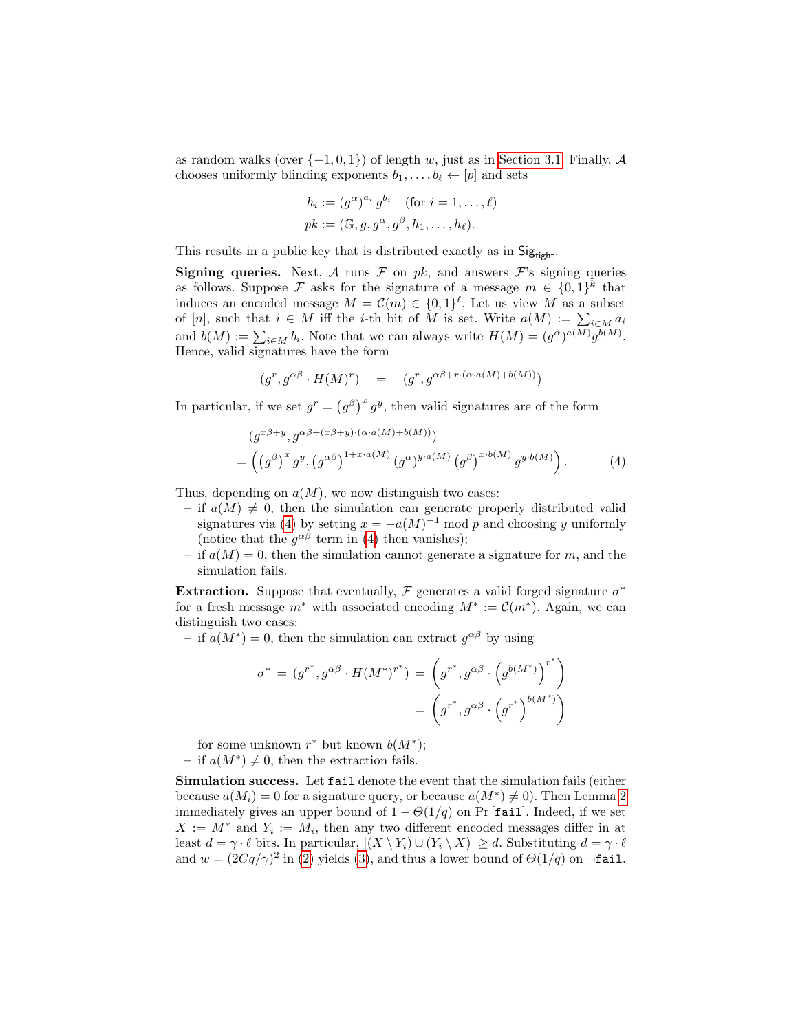as random walks (over  $\{-1,0,1\}$ ) of length w, just as in [Section 3.1.](#page-7-3) Finally, A chooses uniformly blinding exponents  $b_1, \ldots, b_\ell \leftarrow [p]$  and sets

$$
h_i := (g^{\alpha})^{a_i} g^{b_i} \quad \text{(for } i = 1, \dots, \ell\text{)}
$$
\n
$$
pk := (\mathbb{G}, g, g^{\alpha}, g^{\beta}, h_1, \dots, h_{\ell}).
$$

This results in a public key that is distributed exactly as in  $Sig<sub>ti</sub>_{\text{eth}}$ .

**Signing queries.** Next, A runs F on pk, and answers F's signing queries as follows. Suppose F asks for the signature of a message  $m \in \{0,1\}^k$  that induces an encoded message  $M = \mathcal{C}(m) \in \{0,1\}^{\ell}$ . Let us view M as a subset of [n], such that  $i \in M$  iff the *i*-th bit of M is set. Write  $a(M) := \sum_{i \in M} a_i$ and  $b(M) := \sum_{i \in M} b_i$ . Note that we can always write  $H(M) = (g^{\alpha})^{a(M)} g^{b(M)}$ . Hence, valid signatures have the form

<span id="page-10-0"></span>
$$
(g^r,g^{\alpha\beta}\cdot H(M)^r) \quad = \quad (g^r,g^{\alpha\beta+r\cdot(\alpha\cdot a(M)+b(M))})
$$

In particular, if we set  $g^r = (g^{\beta})^x g^y$ , then valid signatures are of the form

$$
(g^{x\beta+y}, g^{\alpha\beta+(x\beta+y)\cdot(\alpha\cdot a(M)+b(M))})
$$
  
= 
$$
((g^{\beta})^{x} g^{y}, (g^{\alpha\beta})^{1+x\cdot a(M)} (g^{\alpha})^{y\cdot a(M)} (g^{\beta})^{x\cdot b(M)} g^{y\cdot b(M)})
$$
. (4)

Thus, depending on  $a(M)$ , we now distinguish two cases:

- if  $a(M) \neq 0$ , then the simulation can generate properly distributed valid signatures via [\(4\)](#page-10-0) by setting  $x = -a(M)^{-1}$  mod p and choosing y uniformly (notice that the  $g^{\alpha\beta}$  term in [\(4\)](#page-10-0) then vanishes);
- if  $a(M) = 0$ , then the simulation cannot generate a signature for m, and the simulation fails.

Extraction. Suppose that eventually,  $\mathcal F$  generates a valid forged signature  $\sigma^*$ for a fresh message  $m^*$  with associated encoding  $M^* := \mathcal{C}(m^*)$ . Again, we can distinguish two cases:

- if  $a(M^*) = 0$ , then the simulation can extract  $g^{\alpha\beta}$  by using

$$
\sigma^* = (g^{r^*}, g^{\alpha \beta} \cdot H(M^*)^{r^*}) = \left(g^{r^*}, g^{\alpha \beta} \cdot \left(g^{b(M^*)}\right)^{r^*}\right)
$$

$$
= \left(g^{r^*}, g^{\alpha \beta} \cdot \left(g^{r^*}\right)^{b(M^*)}\right)
$$

for some unknown  $r^*$  but known  $b(M^*)$ ;

– if  $a(M^*) \neq 0$ , then the extraction fails.

Simulation success. Let fail denote the event that the simulation fails (either because  $a(M_i) = 0$  for a signature query, or because  $a(M^*) \neq 0$ . Then Lemma [2](#page-8-1) immediately gives an upper bound of  $1 - \Theta(1/q)$  on Pr [fail]. Indeed, if we set  $X := M^*$  and  $Y_i := M_i$ , then any two different encoded messages differ in at least  $d = \gamma \cdot \ell$  bits. In particular,  $|(X \setminus Y_i) \cup (Y_i \setminus X)| \geq d$ . Substituting  $d = \gamma \cdot \ell$ and  $w = (2Cq/\gamma)^2$  in [\(2\)](#page-9-0) yields [\(3\)](#page-9-1), and thus a lower bound of  $\Theta(1/q)$  on  $\neg$ fail.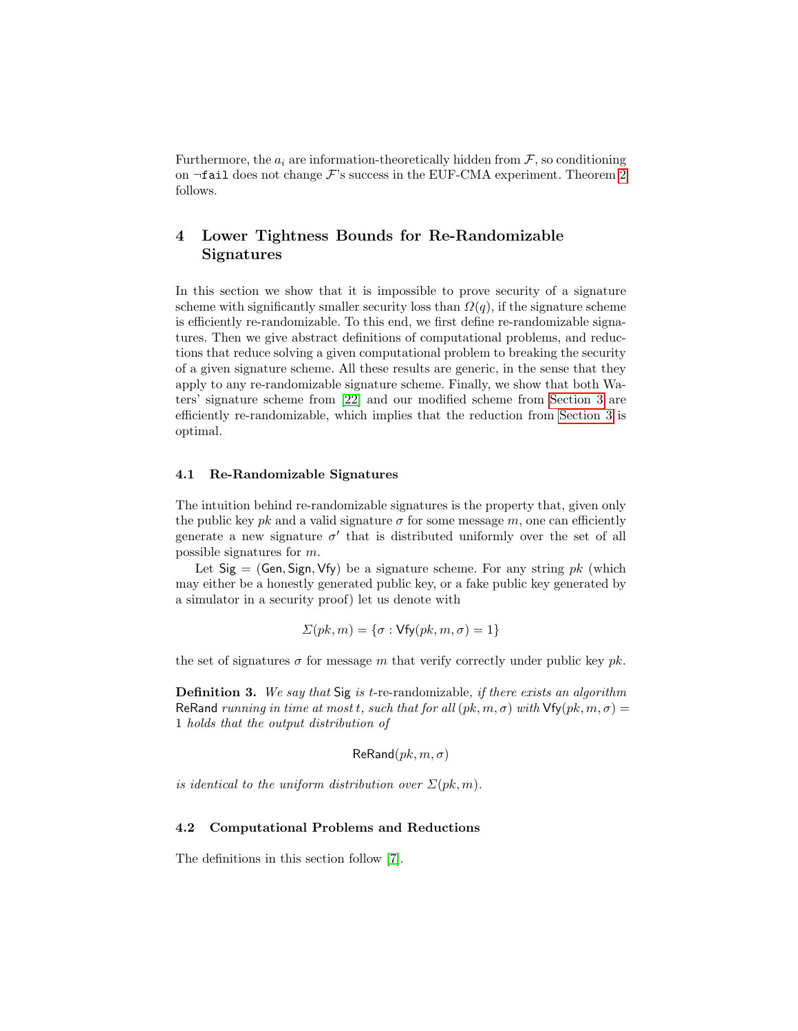Furthermore, the  $a_i$  are information-theoretically hidden from  $\mathcal{F}$ , so conditioning on  $\neg$ **fail** does not change  $\mathcal{F}$ 's success in the EUF-CMA experiment. Theorem [2](#page-7-0) follows.

## <span id="page-11-0"></span>4 Lower Tightness Bounds for Re-Randomizable Signatures

In this section we show that it is impossible to prove security of a signature scheme with significantly smaller security loss than  $\Omega(q)$ , if the signature scheme is efficiently re-randomizable. To this end, we first define re-randomizable signatures. Then we give abstract definitions of computational problems, and reductions that reduce solving a given computational problem to breaking the security of a given signature scheme. All these results are generic, in the sense that they apply to any re-randomizable signature scheme. Finally, we show that both Waters' signature scheme from [\[22\]](#page-17-0) and our modified scheme from [Section 3](#page-6-0) are efficiently re-randomizable, which implies that the reduction from [Section 3](#page-6-0) is optimal.

## 4.1 Re-Randomizable Signatures

The intuition behind re-randomizable signatures is the property that, given only the public key pk and a valid signature  $\sigma$  for some message m, one can efficiently generate a new signature  $\sigma'$  that is distributed uniformly over the set of all possible signatures for m.

Let  $Sig = (Gen, Sign, Vfyl)$  be a signature scheme. For any string pk (which may either be a honestly generated public key, or a fake public key generated by a simulator in a security proof) let us denote with

$$
\Sigma(pk, m) = \{\sigma : \mathsf{Vfy}(pk, m, \sigma) = 1\}
$$

the set of signatures  $\sigma$  for message m that verify correctly under public key pk.

**Definition 3.** We say that Sig is t-re-randomizable, if there exists an algorithm ReRand running in time at most t, such that for all  $(pk, m, \sigma)$  with  $Vf(y(k, m, \sigma))$ 1 holds that the output distribution of

<span id="page-11-1"></span> $\mathsf{ReRand}(pk, m, \sigma)$ 

is identical to the uniform distribution over  $\Sigma(pk, m)$ .

#### 4.2 Computational Problems and Reductions

The definitions in this section follow [\[7\]](#page-16-1).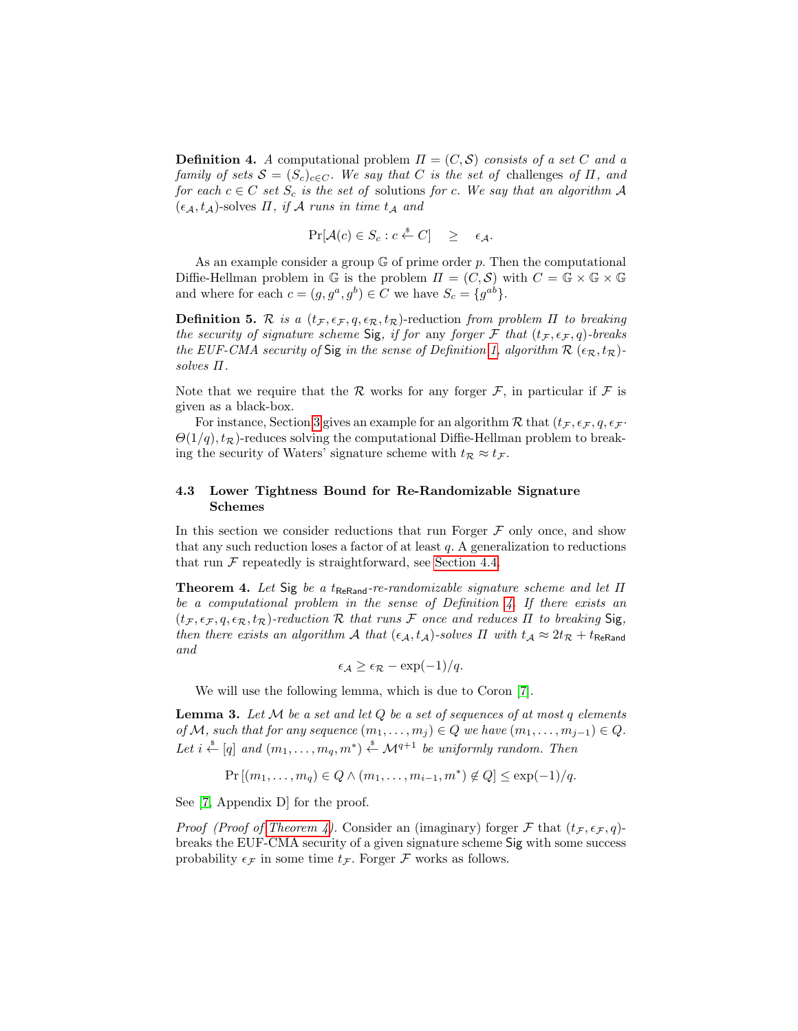**Definition 4.** A computational problem  $\Pi = (C, \mathcal{S})$  consists of a set C and a family of sets  $S = (S_c)_{c \in C}$ . We say that C is the set of challenges of  $\Pi$ , and for each  $c \in C$  set  $S_c$  is the set of solutions for c. We say that an algorithm A  $(\epsilon_{\mathcal{A}}, t_{\mathcal{A}})$ -solves  $\Pi$ , if  $\mathcal A$  runs in time  $t_{\mathcal{A}}$  and

$$
\Pr[\mathcal{A}(c) \in S_c : c \stackrel{\$}{\leftarrow} C] \quad \geq \quad \epsilon_{\mathcal{A}}.
$$

As an example consider a group  $\mathbb G$  of prime order p. Then the computational Diffie-Hellman problem in G is the problem  $\Pi = (C, S)$  with  $C = \mathbb{G} \times \mathbb{G} \times \mathbb{G}$ and where for each  $c = (g, g^a, g^b) \in C$  we have  $S_c = \{g^{ab}\}.$ 

**Definition 5.** R is a  $(t_F, \epsilon_F, q, \epsilon_R, t_R)$ -reduction from problem  $\Pi$  to breaking the security of signature scheme Sig, if for any forger F that  $(t_F, \epsilon_F, q)$ -breaks the EUF-CMA security of Sig in the sense of Definition [1,](#page-5-1) algorithm  $\mathcal{R}(\epsilon_{\mathcal{R}}, t_{\mathcal{R}})$ solves Π.

Note that we require that the R works for any forger  $\mathcal{F}$ , in particular if  $\mathcal{F}$  is given as a black-box.

For instance, Section [3](#page-6-0) gives an example for an algorithm R that  $(t_F, \epsilon_F, q, \epsilon_F$ .  $\Theta(1/q), t_R$ )-reduces solving the computational Diffie-Hellman problem to breaking the security of Waters' signature scheme with  $t_{\mathcal{R}} \approx t_{\mathcal{F}}$ .

## <span id="page-12-2"></span>4.3 Lower Tightness Bound for Re-Randomizable Signature Schemes

In this section we consider reductions that run Forger  $\mathcal F$  only once, and show that any such reduction loses a factor of at least  $q$ . A generalization to reductions that run  $\mathcal F$  repeatedly is straightforward, see [Section 4.4.](#page-14-0)

<span id="page-12-0"></span>**Theorem 4.** Let Sig be a t<sub>ReRand</sub>-re-randomizable signature scheme and let  $\Pi$ be a computational problem in the sense of Definition  $\lambda$ . If there exists an  $(t_{\mathcal{F}}, \epsilon_{\mathcal{F}}, q, \epsilon_{\mathcal{R}}, t_{\mathcal{R}})$ -reduction R that runs F once and reduces  $\Pi$  to breaking Sig, then there exists an algorithm A that  $(\epsilon_{\mathcal{A}}, t_{\mathcal{A}})$ -solves  $\Pi$  with  $t_{\mathcal{A}} \approx 2t_{\mathcal{R}} + t_{\text{ReRand}}$ and

<span id="page-12-1"></span>
$$
\epsilon_{\mathcal{A}} \ge \epsilon_{\mathcal{R}} - \exp(-1)/q.
$$

We will use the following lemma, which is due to Coron [\[7\]](#page-16-1).

**Lemma 3.** Let  $M$  be a set and let  $Q$  be a set of sequences of at most q elements of M, such that for any sequence  $(m_1, \ldots, m_j) \in Q$  we have  $(m_1, \ldots, m_{j-1}) \in Q$ . Let  $i \stackrel{\$}{\leftarrow} [q]$  and  $(m_1, \ldots, m_q, m^*) \stackrel{\$}{\leftarrow} \mathcal{M}^{q+1}$  be uniformly random. Then

$$
Pr [(m_1, ..., m_q) \in Q \land (m_1, ..., m_{i-1}, m^*) \notin Q] \le \exp(-1)/q.
$$

See [\[7,](#page-16-1) Appendix D] for the proof.

*Proof (Proof of [Theorem 4\)](#page-12-0).* Consider an (imaginary) forger  $\mathcal F$  that  $(t_{\mathcal F}, \epsilon_{\mathcal F}, q)$ breaks the EUF-CMA security of a given signature scheme Sig with some success probability  $\epsilon_F$  in some time  $t_F$ . Forger F works as follows.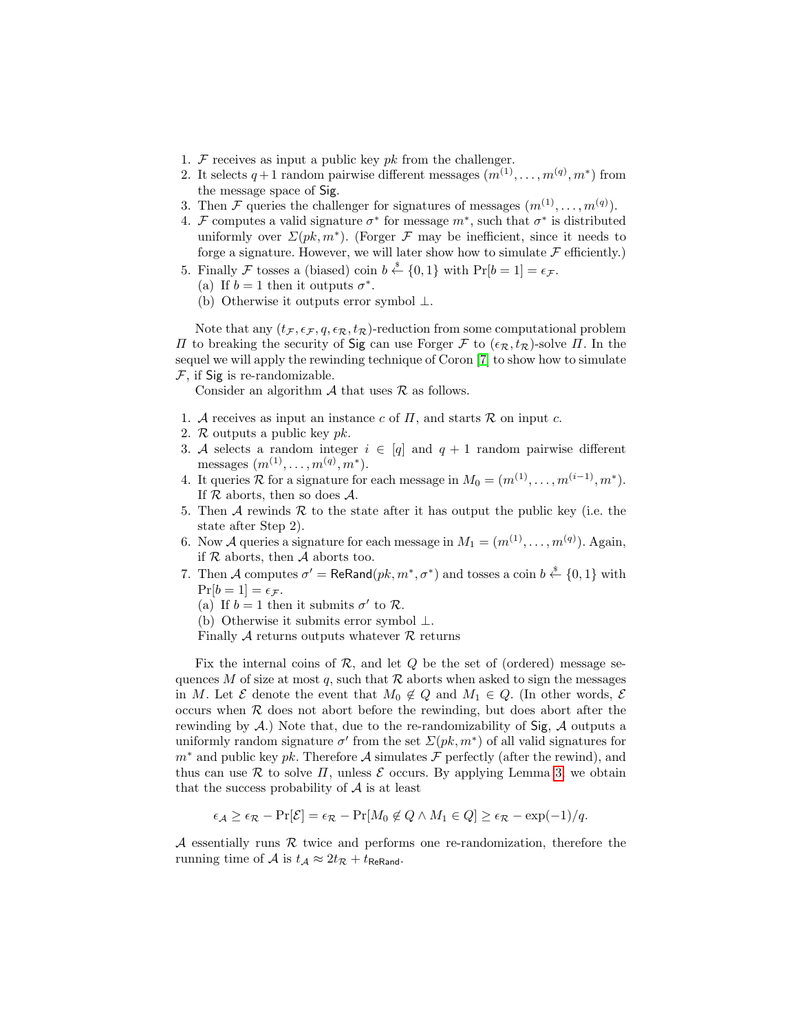- 1.  $\mathcal F$  receives as input a public key pk from the challenger.
- 2. It selects  $q+1$  random pairwise different messages  $(m^{(1)}, \ldots, m^{(q)}, m^*)$  from the message space of Sig.
- 3. Then F queries the challenger for signatures of messages  $(m^{(1)}, \ldots, m^{(q)})$ .
- 4. F computes a valid signature  $\sigma^*$  for message  $m^*$ , such that  $\sigma^*$  is distributed uniformly over  $\Sigma(pk, m^*)$ . (Forger  $\mathcal F$  may be inefficient, since it needs to forge a signature. However, we will later show how to simulate  $\mathcal F$  efficiently.)
- 5. Finally F tosses a (biased) coin  $b \stackrel{s}{\leftarrow} \{0,1\}$  with  $\Pr[b=1] = \epsilon_F$ .
	- (a) If  $b = 1$  then it outputs  $\sigma^*$ .
	- (b) Otherwise it outputs error symbol ⊥.

Note that any  $(t_{\mathcal{F}}, \epsilon_{\mathcal{F}}, q, \epsilon_{\mathcal{R}}, t_{\mathcal{R}})$ -reduction from some computational problem Π to breaking the security of Sig can use Forger F to  $(\epsilon_{\mathcal{R}}, t_{\mathcal{R}})$ -solve Π. In the sequel we will apply the rewinding technique of Coron [\[7\]](#page-16-1) to show how to simulate  $\mathcal{F}$ , if Sig is re-randomizable.

Consider an algorithm  $\mathcal A$  that uses  $\mathcal R$  as follows.

- 1. A receives as input an instance c of  $\Pi$ , and starts  $\mathcal R$  on input c.
- 2.  $\mathcal R$  outputs a public key  $pk$ .
- 3. A selects a random integer  $i \in [q]$  and  $q + 1$  random pairwise different messages  $(m^{(1)}, \ldots, m^{(q)}, m^*).$
- 4. It queries R for a signature for each message in  $M_0 = (m^{(1)}, \ldots, m^{(i-1)}, m^*)$ . If  $R$  aborts, then so does  $A$ .
- 5. Then  $A$  rewinds  $R$  to the state after it has output the public key (i.e. the state after Step 2).
- 6. Now A queries a signature for each message in  $M_1 = (m^{(1)}, \ldots, m^{(q)})$ . Again, if  $R$  aborts, then  $A$  aborts too.
- 7. Then A computes  $\sigma' = \text{ReRand}(pk, m^*, \sigma^*)$  and tosses a coin  $b \stackrel{\$}{\leftarrow} \{0, 1\}$  with  $Pr[b = 1] = \epsilon_F.$ 
	- (a) If  $b = 1$  then it submits  $\sigma'$  to  $\mathcal{R}$ .
	- (b) Otherwise it submits error symbol ⊥.
	- Finally  $A$  returns outputs whatever  $R$  returns

Fix the internal coins of  $R$ , and let  $Q$  be the set of (ordered) message sequences M of size at most q, such that  $R$  aborts when asked to sign the messages in M. Let  $\mathcal E$  denote the event that  $M_0 \notin Q$  and  $M_1 \in Q$ . (In other words,  $\mathcal E$ occurs when  $R$  does not abort before the rewinding, but does abort after the rewinding by  $A$ .) Note that, due to the re-randomizability of Sig,  $A$  outputs a uniformly random signature  $\sigma'$  from the set  $\Sigma(pk, m^*)$  of all valid signatures for  $m^*$  and public key pk. Therefore A simulates F perfectly (after the rewind), and thus can use  $\mathcal R$  to solve  $\Pi$ , unless  $\mathcal E$  occurs. By applying Lemma [3,](#page-12-1) we obtain that the success probability of  $A$  is at least

$$
\epsilon_{\mathcal{A}} \geq \epsilon_{\mathcal{R}} - \Pr[\mathcal{E}] = \epsilon_{\mathcal{R}} - \Pr[M_0 \not\in Q \land M_1 \in Q] \geq \epsilon_{\mathcal{R}} - \exp(-1)/q.
$$

 $A$  essentially runs  $R$  twice and performs one re-randomization, therefore the running time of A is  $t_A \approx 2t_R + t_{\text{ReRand}}$ .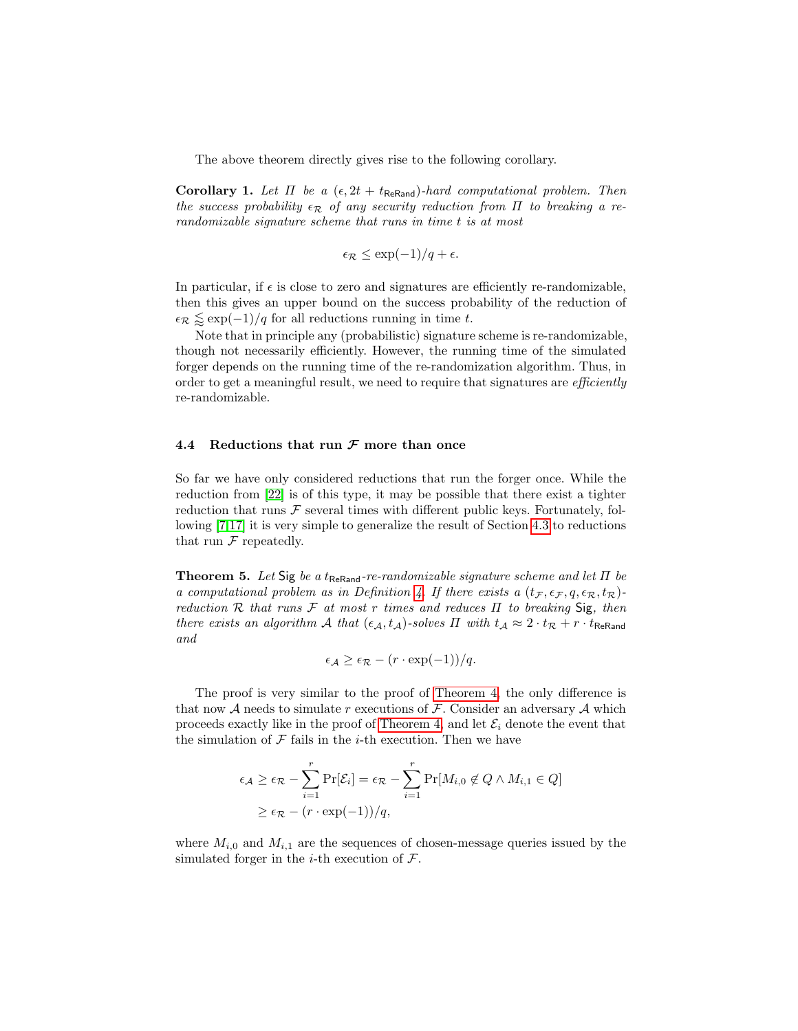The above theorem directly gives rise to the following corollary.

**Corollary 1.** Let  $\Pi$  be a  $(\epsilon, 2t + t_{\text{ReRand}})$ -hard computational problem. Then the success probability  $\epsilon_{\mathcal{R}}$  of any security reduction from  $\Pi$  to breaking a rerandomizable signature scheme that runs in time t is at most

$$
\epsilon_{\mathcal{R}} \le \exp(-1)/q + \epsilon.
$$

In particular, if  $\epsilon$  is close to zero and signatures are efficiently re-randomizable, then this gives an upper bound on the success probability of the reduction of  $\epsilon_R \leq \exp(-1)/q$  for all reductions running in time t.

Note that in principle any (probabilistic) signature scheme is re-randomizable, though not necessarily efficiently. However, the running time of the simulated forger depends on the running time of the re-randomization algorithm. Thus, in order to get a meaningful result, we need to require that signatures are *efficiently* re-randomizable.

## <span id="page-14-0"></span>4.4 Reductions that run  $\mathcal F$  more than once

So far we have only considered reductions that run the forger once. While the reduction from [\[22\]](#page-17-0) is of this type, it may be possible that there exist a tighter reduction that runs  $\mathcal F$  several times with different public keys. Fortunately, following [\[7](#page-16-1)[,17\]](#page-17-5) it is very simple to generalize the result of Section [4.3](#page-12-2) to reductions that run  $\mathcal F$  repeatedly.

**Theorem 5.** Let Sig be a t<sub>ReRand</sub>-re-randomizable signature scheme and let  $\Pi$  be a computational problem as in Definition [4.](#page-11-1) If there exists a  $(t_{\mathcal{F}}, \epsilon_{\mathcal{F}}, q, \epsilon_{\mathcal{R}}, t_{\mathcal{R}})$ reduction  $R$  that runs  $F$  at most r times and reduces  $\Pi$  to breaking Sig, then there exists an algorithm A that  $(\epsilon_{\mathcal{A}}, t_{\mathcal{A}})$ -solves  $\Pi$  with  $t_{\mathcal{A}} \approx 2 \cdot t_{\mathcal{R}} + r \cdot t_{\text{ReRand}}$ and

$$
\epsilon_{\mathcal{A}} \ge \epsilon_{\mathcal{R}} - (r \cdot \exp(-1))/q.
$$

The proof is very similar to the proof of [Theorem 4,](#page-12-0) the only difference is that now  $A$  needs to simulate r executions of  $F$ . Consider an adversary  $A$  which proceeds exactly like in the proof of [Theorem 4,](#page-12-0) and let  $\mathcal{E}_i$  denote the event that the simulation of  $\mathcal F$  fails in the *i*-th execution. Then we have

$$
\epsilon_{\mathcal{A}} \geq \epsilon_{\mathcal{R}} - \sum_{i=1}^{r} \Pr[\mathcal{E}_i] = \epsilon_{\mathcal{R}} - \sum_{i=1}^{r} \Pr[M_{i,0} \notin Q \land M_{i,1} \in Q]
$$
  

$$
\geq \epsilon_{\mathcal{R}} - (r \cdot \exp(-1))/q,
$$

where  $M_{i,0}$  and  $M_{i,1}$  are the sequences of chosen-message queries issued by the simulated forger in the *i*-th execution of  $\mathcal{F}$ .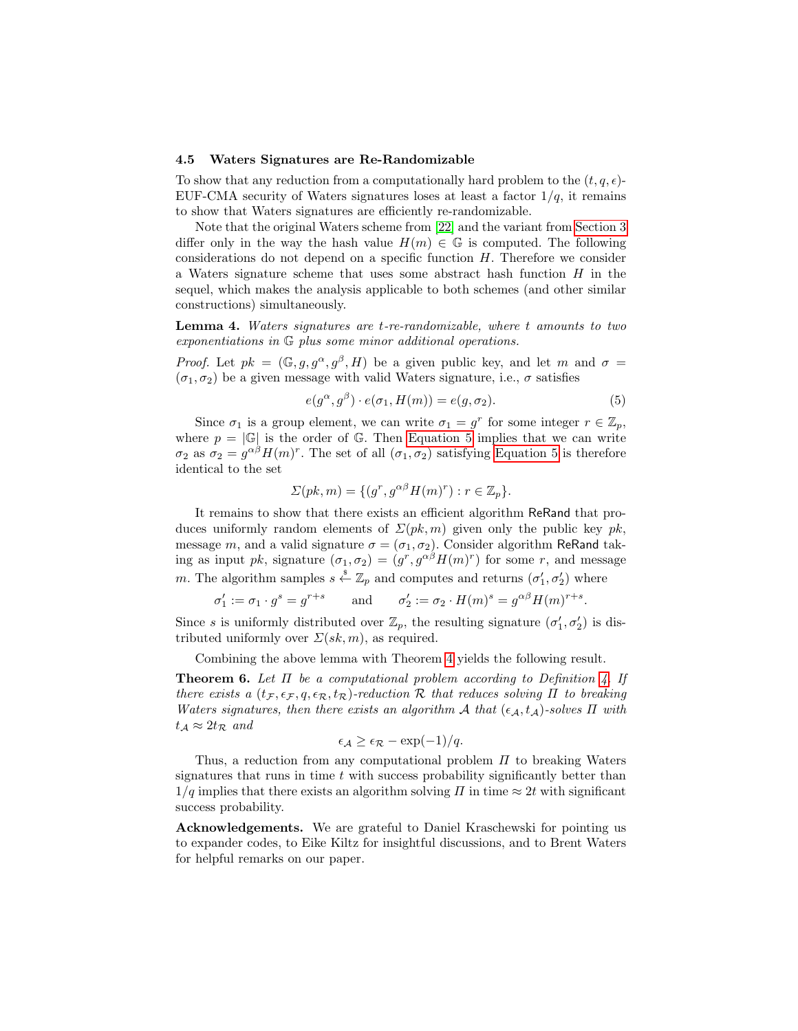#### 4.5 Waters Signatures are Re-Randomizable

To show that any reduction from a computationally hard problem to the  $(t, q, \epsilon)$ -EUF-CMA security of Waters signatures loses at least a factor  $1/q$ , it remains to show that Waters signatures are efficiently re-randomizable.

Note that the original Waters scheme from [\[22\]](#page-17-0) and the variant from [Section 3](#page-6-0) differ only in the way the hash value  $H(m) \in \mathbb{G}$  is computed. The following considerations do not depend on a specific function  $H$ . Therefore we consider a Waters signature scheme that uses some abstract hash function H in the sequel, which makes the analysis applicable to both schemes (and other similar constructions) simultaneously.

Lemma 4. Waters signatures are t-re-randomizable, where t amounts to two exponentiations in G plus some minor additional operations.

*Proof.* Let  $pk = (\mathbb{G}, g, g^{\alpha}, g^{\beta}, H)$  be a given public key, and let m and  $\sigma =$  $(\sigma_1, \sigma_2)$  be a given message with valid Waters signature, i.e.,  $\sigma$  satisfies

<span id="page-15-0"></span>
$$
e(g^{\alpha}, g^{\beta}) \cdot e(\sigma_1, H(m)) = e(g, \sigma_2). \tag{5}
$$

Since  $\sigma_1$  is a group element, we can write  $\sigma_1 = g^r$  for some integer  $r \in \mathbb{Z}_p$ , where  $p = |\mathbb{G}|$  is the order of G. Then [Equation 5](#page-15-0) implies that we can write  $\sigma_2$  as  $\sigma_2 = g^{\alpha\beta}H(m)^r$ . The set of all  $(\sigma_1, \sigma_2)$  satisfying [Equation 5](#page-15-0) is therefore identical to the set

$$
\Sigma(pk, m) = \{ (g^r, g^{\alpha \beta} H(m)^r) : r \in \mathbb{Z}_p \}.
$$

It remains to show that there exists an efficient algorithm ReRand that produces uniformly random elements of  $\Sigma(pk, m)$  given only the public key pk, message m, and a valid signature  $\sigma = (\sigma_1, \sigma_2)$ . Consider algorithm ReRand taking as input pk, signature  $(\sigma_1, \sigma_2) = (g^r, g^{\alpha\beta} H(m)^r)$  for some r, and message m. The algorithm samples  $s \stackrel{s}{\leftarrow} \mathbb{Z}_p$  and computes and returns  $(\sigma'_1, \sigma'_2)$  where

$$
\sigma_1':=\sigma_1\cdot g^s=g^{r+s}\qquad\text{and}\qquad \sigma_2':=\sigma_2\cdot H(m)^s=g^{\alpha\beta}H(m)^{r+s}.
$$

Since s is uniformly distributed over  $\mathbb{Z}_p$ , the resulting signature  $(\sigma'_1, \sigma'_2)$  is distributed uniformly over  $\Sigma(sk, m)$ , as required.

Combining the above lemma with Theorem [4](#page-12-0) yields the following result.

**Theorem 6.** Let  $\Pi$  be a computational problem according to Definition [4.](#page-11-1) If there exists a  $(t_{\mathcal{F}}, \epsilon_{\mathcal{F}}, q, \epsilon_{\mathcal{R}}, t_{\mathcal{R}})$ -reduction R that reduces solving  $\Pi$  to breaking Waters signatures, then there exists an algorithm A that  $(\epsilon_A, t_A)$ -solves  $\Pi$  with  $t_A \approx 2t_R$  and

$$
\epsilon_{\mathcal{A}} \ge \epsilon_{\mathcal{R}} - \exp(-1)/q.
$$

Thus, a reduction from any computational problem  $\Pi$  to breaking Waters signatures that runs in time  $t$  with success probability significantly better than  $1/q$  implies that there exists an algorithm solving  $\Pi$  in time  $\approx 2t$  with significant success probability.

Acknowledgements. We are grateful to Daniel Kraschewski for pointing us to expander codes, to Eike Kiltz for insightful discussions, and to Brent Waters for helpful remarks on our paper.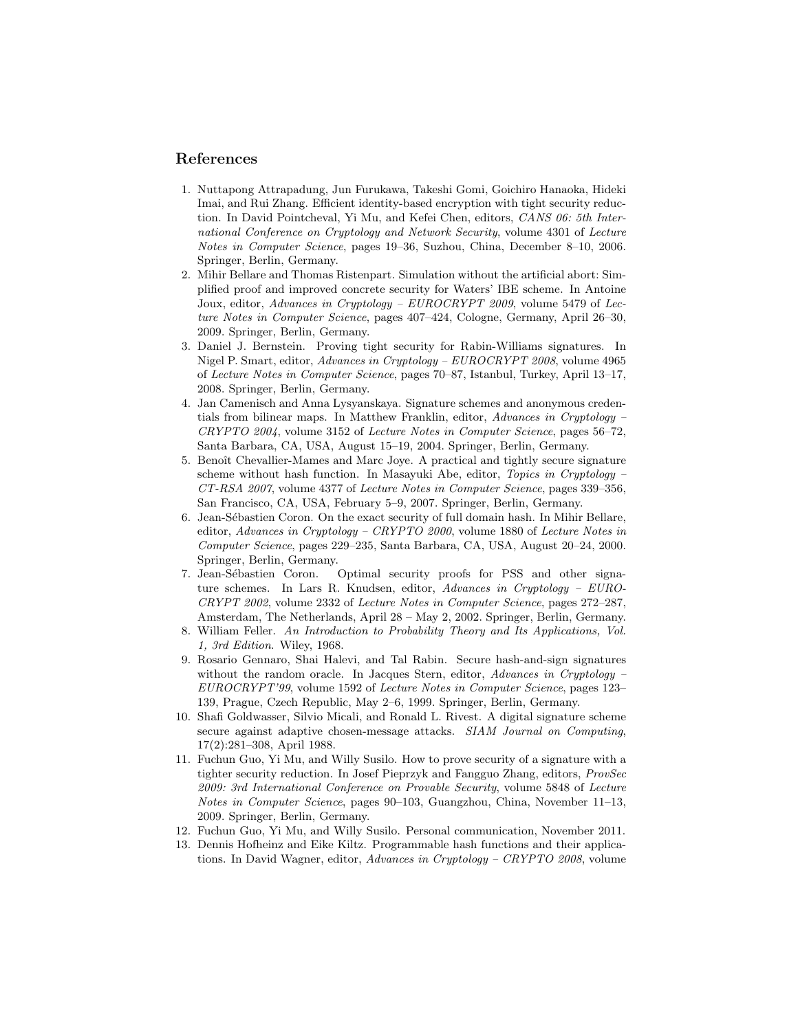## References

- <span id="page-16-2"></span>1. Nuttapong Attrapadung, Jun Furukawa, Takeshi Gomi, Goichiro Hanaoka, Hideki Imai, and Rui Zhang. Efficient identity-based encryption with tight security reduction. In David Pointcheval, Yi Mu, and Kefei Chen, editors, CANS 06: 5th International Conference on Cryptology and Network Security, volume 4301 of Lecture Notes in Computer Science, pages 19–36, Suzhou, China, December 8–10, 2006. Springer, Berlin, Germany.
- <span id="page-16-10"></span>2. Mihir Bellare and Thomas Ristenpart. Simulation without the artificial abort: Simplified proof and improved concrete security for Waters' IBE scheme. In Antoine Joux, editor, Advances in Cryptology – EUROCRYPT 2009, volume 5479 of Lecture Notes in Computer Science, pages 407–424, Cologne, Germany, April 26–30, 2009. Springer, Berlin, Germany.
- <span id="page-16-3"></span>3. Daniel J. Bernstein. Proving tight security for Rabin-Williams signatures. In Nigel P. Smart, editor, Advances in Cryptology – EUROCRYPT 2008, volume 4965 of Lecture Notes in Computer Science, pages 70–87, Istanbul, Turkey, April 13–17, 2008. Springer, Berlin, Germany.
- <span id="page-16-9"></span>4. Jan Camenisch and Anna Lysyanskaya. Signature schemes and anonymous credentials from bilinear maps. In Matthew Franklin, editor, Advances in Cryptology – CRYPTO 2004, volume 3152 of Lecture Notes in Computer Science, pages 56–72, Santa Barbara, CA, USA, August 15–19, 2004. Springer, Berlin, Germany.
- <span id="page-16-4"></span>5. Benoît Chevallier-Mames and Marc Jove. A practical and tightly secure signature scheme without hash function. In Masayuki Abe, editor, *Topics in Cryptology* – CT-RSA 2007, volume 4377 of Lecture Notes in Computer Science, pages 339–356, San Francisco, CA, USA, February 5–9, 2007. Springer, Berlin, Germany.
- <span id="page-16-8"></span>6. Jean-Sébastien Coron. On the exact security of full domain hash. In Mihir Bellare, editor, Advances in Cryptology – CRYPTO 2000, volume 1880 of Lecture Notes in Computer Science, pages 229–235, Santa Barbara, CA, USA, August 20–24, 2000. Springer, Berlin, Germany.
- <span id="page-16-1"></span>7. Jean-Sébastien Coron. Optimal security proofs for PSS and other signature schemes. In Lars R. Knudsen, editor, Advances in Cryptology – EURO-CRYPT 2002, volume 2332 of Lecture Notes in Computer Science, pages 272–287, Amsterdam, The Netherlands, April 28 – May 2, 2002. Springer, Berlin, Germany.
- <span id="page-16-12"></span>8. William Feller. An Introduction to Probability Theory and Its Applications, Vol. 1, 3rd Edition. Wiley, 1968.
- <span id="page-16-5"></span>9. Rosario Gennaro, Shai Halevi, and Tal Rabin. Secure hash-and-sign signatures without the random oracle. In Jacques Stern, editor,  $Advances$  in Cryptology – EUROCRYPT'99, volume 1592 of Lecture Notes in Computer Science, pages 123– 139, Prague, Czech Republic, May 2–6, 1999. Springer, Berlin, Germany.
- <span id="page-16-11"></span>10. Shafi Goldwasser, Silvio Micali, and Ronald L. Rivest. A digital signature scheme secure against adaptive chosen-message attacks. SIAM Journal on Computing, 17(2):281–308, April 1988.
- <span id="page-16-6"></span>11. Fuchun Guo, Yi Mu, and Willy Susilo. How to prove security of a signature with a tighter security reduction. In Josef Pieprzyk and Fangguo Zhang, editors, ProvSec 2009: 3rd International Conference on Provable Security, volume 5848 of Lecture Notes in Computer Science, pages 90–103, Guangzhou, China, November 11–13, 2009. Springer, Berlin, Germany.
- <span id="page-16-7"></span>12. Fuchun Guo, Yi Mu, and Willy Susilo. Personal communication, November 2011.
- <span id="page-16-0"></span>13. Dennis Hofheinz and Eike Kiltz. Programmable hash functions and their applications. In David Wagner, editor, Advances in Cryptology – CRYPTO 2008, volume